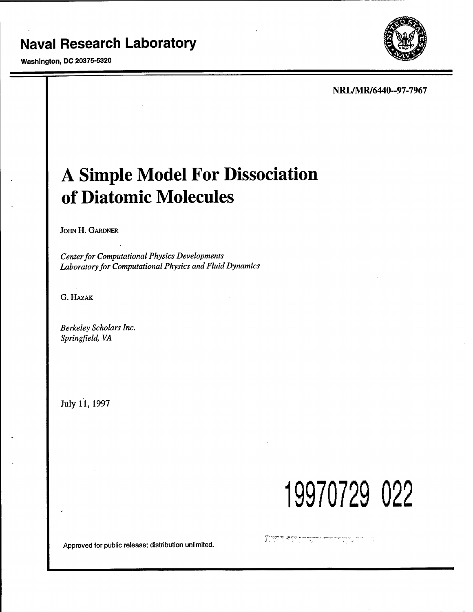# **Naval Research Laboratory**

Washington, DC 20375-5320



**NRL/MR/6440--97-7967**

# **A Simple Model For Dissociation of Diatomic Molecules**

JOHN H. GARDNER

*Centerfor Computational Physics Developments Laboratoryfor Computational Physics and Fluid Dynamics*

G. HAZAK

*Berkeley Scholars Inc. Springfield, VA*

July 11, 1997

**19970729 022**

Approved for public release; distribution unlimited.

المستخدمة المستخدمة المنتقلة المنتقلة المنتقلة المنتقلة المنتقلة المنتقلة المنتقلة المنتقلة المنتقلة المنتقلة ال  $\sim$  12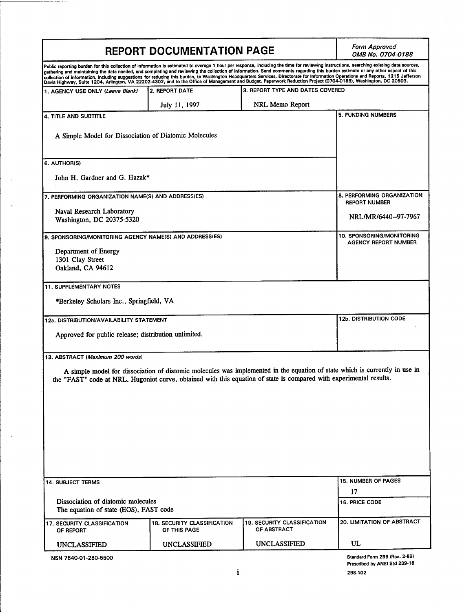| <b>REPORT DOCUMENTATION PAGE</b>                                                                                                                                                                                                                                                                                                                                                                                                                                                                                                                                                                                                                                                                                                    |                                                                                                                             |                                                   | <b>Form Approved</b><br>OMB No. 0704-0188                      |
|-------------------------------------------------------------------------------------------------------------------------------------------------------------------------------------------------------------------------------------------------------------------------------------------------------------------------------------------------------------------------------------------------------------------------------------------------------------------------------------------------------------------------------------------------------------------------------------------------------------------------------------------------------------------------------------------------------------------------------------|-----------------------------------------------------------------------------------------------------------------------------|---------------------------------------------------|----------------------------------------------------------------|
| Public reporting burden for this collection of information is estimated to average 1 hour per response, including the time for reviewing instructions, searching existing data sources,<br>gathering and maintaining the data needed, and completing and reviewing the collection of information. Send comments regarding this burden estimate or any other aspect of this<br>collection of information, including suggestions for reducing this burden, to Washington Headquarters Services, Directorate for Information Operations and Reports, 1215 Jefferson<br>Davis Highway, Suite 1204, Arlington, VA 22202-4302, and to the Office of Management and Budget. Paperwork Reduction Project (0704-0188), Washington, DC 20503. |                                                                                                                             |                                                   |                                                                |
| 1. AGENCY USE ONLY (Leave Blank)                                                                                                                                                                                                                                                                                                                                                                                                                                                                                                                                                                                                                                                                                                    | 2. REPORT DATE                                                                                                              | 3. REPORT TYPE AND DATES COVERED                  |                                                                |
|                                                                                                                                                                                                                                                                                                                                                                                                                                                                                                                                                                                                                                                                                                                                     | July 11, 1997                                                                                                               | NRL Memo Report                                   |                                                                |
| 4. TITLE AND SUBTITLE                                                                                                                                                                                                                                                                                                                                                                                                                                                                                                                                                                                                                                                                                                               |                                                                                                                             |                                                   | <b>5. FUNDING NUMBERS</b>                                      |
| A Simple Model for Dissociation of Diatomic Molecules                                                                                                                                                                                                                                                                                                                                                                                                                                                                                                                                                                                                                                                                               |                                                                                                                             |                                                   |                                                                |
| 6. AUTHOR(S)                                                                                                                                                                                                                                                                                                                                                                                                                                                                                                                                                                                                                                                                                                                        |                                                                                                                             |                                                   |                                                                |
| John H. Gardner and G. Hazak*                                                                                                                                                                                                                                                                                                                                                                                                                                                                                                                                                                                                                                                                                                       |                                                                                                                             |                                                   |                                                                |
| 7. PERFORMING ORGANIZATION NAME(S) AND ADDRESS(ES)                                                                                                                                                                                                                                                                                                                                                                                                                                                                                                                                                                                                                                                                                  |                                                                                                                             |                                                   | 8. PERFORMING ORGANIZATION<br><b>REPORT NUMBER</b>             |
| Naval Research Laboratory                                                                                                                                                                                                                                                                                                                                                                                                                                                                                                                                                                                                                                                                                                           |                                                                                                                             |                                                   |                                                                |
| Washington, DC 20375-5320                                                                                                                                                                                                                                                                                                                                                                                                                                                                                                                                                                                                                                                                                                           |                                                                                                                             |                                                   | NRL/MR/6440--97-7967                                           |
| 9. SPONSORING/MONITORING AGENCY NAME(S) AND ADDRESS(ES)                                                                                                                                                                                                                                                                                                                                                                                                                                                                                                                                                                                                                                                                             |                                                                                                                             |                                                   | 10. SPONSORING/MONITORING<br><b>AGENCY REPORT NUMBER</b>       |
| Department of Energy                                                                                                                                                                                                                                                                                                                                                                                                                                                                                                                                                                                                                                                                                                                |                                                                                                                             |                                                   |                                                                |
| 1301 Clay Street<br>Oakland, CA 94612                                                                                                                                                                                                                                                                                                                                                                                                                                                                                                                                                                                                                                                                                               |                                                                                                                             |                                                   |                                                                |
|                                                                                                                                                                                                                                                                                                                                                                                                                                                                                                                                                                                                                                                                                                                                     |                                                                                                                             |                                                   |                                                                |
| <b>11. SUPPLEMENTARY NOTES</b>                                                                                                                                                                                                                                                                                                                                                                                                                                                                                                                                                                                                                                                                                                      |                                                                                                                             |                                                   |                                                                |
| *Berkeley Scholars Inc., Springfield, VA                                                                                                                                                                                                                                                                                                                                                                                                                                                                                                                                                                                                                                                                                            |                                                                                                                             |                                                   |                                                                |
| 12a. DISTRIBUTION/AVAILABILITY STATEMENT                                                                                                                                                                                                                                                                                                                                                                                                                                                                                                                                                                                                                                                                                            |                                                                                                                             |                                                   | <b>12b. DISTRIBUTION CODE</b>                                  |
| Approved for public release; distribution unlimited.                                                                                                                                                                                                                                                                                                                                                                                                                                                                                                                                                                                                                                                                                |                                                                                                                             |                                                   |                                                                |
|                                                                                                                                                                                                                                                                                                                                                                                                                                                                                                                                                                                                                                                                                                                                     |                                                                                                                             |                                                   |                                                                |
| 13. ABSTRACT (Maximum 200 words)                                                                                                                                                                                                                                                                                                                                                                                                                                                                                                                                                                                                                                                                                                    |                                                                                                                             |                                                   |                                                                |
| the "FAST" code at NRL. Hugoniot curve, obtained with this equation of state is compared with experimental results.                                                                                                                                                                                                                                                                                                                                                                                                                                                                                                                                                                                                                 | A simple model for dissociation of diatomic molecules was implemented in the equation of state which is currently in use in |                                                   |                                                                |
|                                                                                                                                                                                                                                                                                                                                                                                                                                                                                                                                                                                                                                                                                                                                     |                                                                                                                             |                                                   |                                                                |
|                                                                                                                                                                                                                                                                                                                                                                                                                                                                                                                                                                                                                                                                                                                                     |                                                                                                                             |                                                   |                                                                |
|                                                                                                                                                                                                                                                                                                                                                                                                                                                                                                                                                                                                                                                                                                                                     |                                                                                                                             |                                                   |                                                                |
|                                                                                                                                                                                                                                                                                                                                                                                                                                                                                                                                                                                                                                                                                                                                     |                                                                                                                             |                                                   |                                                                |
|                                                                                                                                                                                                                                                                                                                                                                                                                                                                                                                                                                                                                                                                                                                                     |                                                                                                                             |                                                   |                                                                |
|                                                                                                                                                                                                                                                                                                                                                                                                                                                                                                                                                                                                                                                                                                                                     |                                                                                                                             |                                                   |                                                                |
| <b>14. SUBJECT TERMS</b>                                                                                                                                                                                                                                                                                                                                                                                                                                                                                                                                                                                                                                                                                                            |                                                                                                                             |                                                   | <b>15. NUMBER OF PAGES</b>                                     |
|                                                                                                                                                                                                                                                                                                                                                                                                                                                                                                                                                                                                                                                                                                                                     |                                                                                                                             |                                                   | 17                                                             |
| Dissociation of diatomic molecules<br>The equation of state (EOS), FAST code                                                                                                                                                                                                                                                                                                                                                                                                                                                                                                                                                                                                                                                        |                                                                                                                             |                                                   | 16. PRICE CODE                                                 |
| <b>17. SECURITY CLASSIFICATION</b><br>OF REPORT                                                                                                                                                                                                                                                                                                                                                                                                                                                                                                                                                                                                                                                                                     | <b>18. SECURITY CLASSIFICATION</b><br>OF THIS PAGE                                                                          | <b>19. SECURITY CLASSIFICATION</b><br>OF ABSTRACT | <b>20. LIMITATION OF ABSTRACT</b>                              |
| <b>UNCLASSIFIED</b>                                                                                                                                                                                                                                                                                                                                                                                                                                                                                                                                                                                                                                                                                                                 | <b>UNCLASSIFIED</b>                                                                                                         | UNCLASSIFIED                                      | UL                                                             |
| NSN 7540-01-280-5500                                                                                                                                                                                                                                                                                                                                                                                                                                                                                                                                                                                                                                                                                                                |                                                                                                                             |                                                   | Standard Form 298 (Rev. 2-89)<br>Prescribed by ANSI Std 239-18 |

 $\bar{\gamma}$ 

 $\tilde{\mathcal{L}}$ 

 $\mathcal{A}$ 

 $\mathbb{C}$ 

 $\sim$ 

 $\cdots \cdots \cdots \cdots$ 

**<sup>298-102</sup>**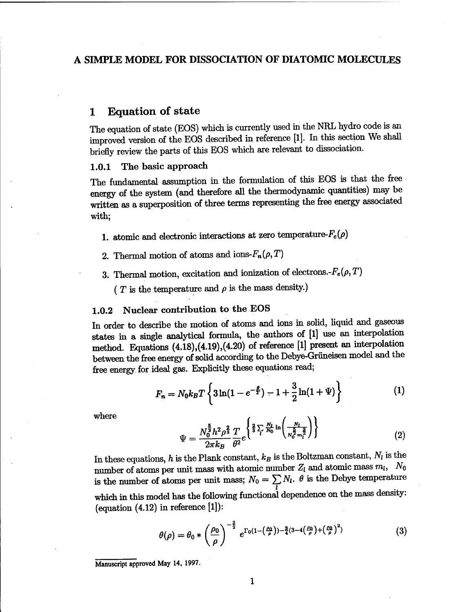### A SIMPLE MODEL FOR DISSOCIATION OF DIATOMIC MOLECULES

### <sup>1</sup> Equation of state

The equation of state (EOS) which is currently used in the NRL hydro code is an improved version of the EOS described in reference [1]. In this section We shall briefly review the parts of this EOS which are relevant to dissociation.

#### 1.0.1 The basic approach

The fundamental assumption in the formulation of this EOS is that the free energy of the system (and therefore all the thermodynamic quantities) may be written as a superposition of three terms representing the free energy associated with;

- 1. atomic and electronic interactions at zero temperature- $F_c(\rho)$
- 2. Thermal motion of atoms and ions- $F_n(\rho, T)$
- 3. Thermal motion, excitation and ionization of electrons. $-F_e(\rho, T)$ 
	- ( $T$  is the temperature and  $\rho$  is the mass density.)

#### 1.0.2 Nuclear contribution to the EOS

In order to describe the motion of atoms and ions in solid, liquid and gaseous states in a single analytical formula, the authors of [1] use an interpolation method. Equations (4.18),(4.19),(4.20) of reference [1] present an interpolation between the free energy of solid according to the Debye-Grüneisen model and the free energy for ideal gas. Explicitly these equations read;

$$
F_n = N_0 k_B T \left\{ 3 \ln(1 - e^{-\frac{\theta}{T}}) - 1 + \frac{3}{2} \ln(1 + \Psi) \right\}
$$
 (1)

where

$$
\Psi = \frac{N_0^{\frac{5}{3}} h^2 \rho^{\frac{2}{3}}}{2\pi k_B} \frac{T}{\theta^2} e^{\left\{\frac{2}{3} \sum_l \frac{N_l}{N_0} \ln\left(\frac{N_l}{N_0^{\frac{5}{2}} m_l^{\frac{3}{2}}}\right)\right\}} \tag{2}
$$

In these equations, *h* is the Plank constant,  $k_B$  is the Boltzman constant,  $N_l$  is the number of atoms per unit mass with atomic number  $Z_l$  and atomic mass  $m_l$ ,  $N_0$ is the number of atoms per unit mass;  $N_0 = \sum N_l$ .  $\theta$  is the Debye temperature which in this model has the following functional dependence on the mass density: (equation  $(4.12)$  in reference  $[1]$ ):

$$
\theta(\rho) = \theta_0 * \left(\frac{\rho_0}{\rho}\right)^{-\frac{3}{2}} e^{\Gamma_0(1-\left(\frac{\rho_0}{\rho}\right)) - \frac{3}{4}(3-4\left(\frac{\rho_0}{\rho}\right) + \left(\frac{\rho_0}{\rho}\right)^2)}
$$
(3)

**Manuscript approved May 14, 1997.**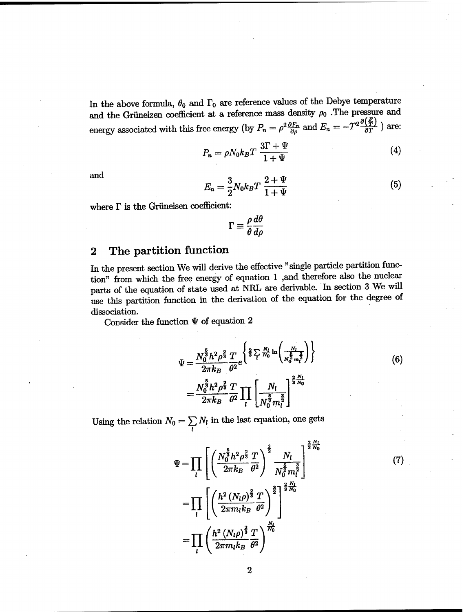In the above formula,  $\theta_0$  and  $\Gamma_0$  are reference values of the Debye temperature and the Grüneizen coefficient at a reference mass density  $\rho_0$ . The pressure and energy associated with this free energy (by  $P_n = \rho^2$ ) density  $\rho_0$ . The pressure and  $\frac{\partial F_n}{\partial \rho}$  and  $E_n = -T^2 \frac{\partial \left(\frac{F}{T}\right)}{\partial T}$  are:

$$
P_n = \rho N_0 k_B T \frac{3\Gamma + \Psi}{1 + \Psi} \tag{4}
$$

and 
$$
E_n = \frac{3}{2} N_0 k_B T \frac{2 + \Psi}{1 + \Psi}
$$
 (5)

where  $\Gamma$  is the Grüneisen coefficient:

$$
\Gamma \equiv \frac{\rho}{\theta} \frac{d\theta}{d\rho}
$$

### **2 The partition function**

In the present section We will derive the effective "single particle partition function" from which the free energy of equation <sup>1</sup> ,and therefore also the nuclear parts of the equation of state used at NRL are derivable. In section 3 We will dissociation.

Consider the function  $\Psi$  of equation  $2$ 

$$
\begin{aligned}\n\text{Use this partition function in the derivation of the equation for the degree of} \\
\text{dissociation.} \\
\text{Consider the function } \Psi \text{ of equation 2} \\
\Psi &= \frac{N_0^{\frac{5}{3}} h^2 \rho^{\frac{2}{3}}}{2 \pi k_B} \frac{T}{\theta^2} e^{\left\{\frac{2}{3} \sum_i \frac{N_l}{N_0} \ln \left(\frac{N_l}{N_0^{\frac{2}{3}} m_i^{\frac{2}{3}}}\right)\right\}} \\
\Psi &= \frac{N_0^{\frac{5}{3}} h^2 \rho^{\frac{2}{3}} T}{2 \pi k_B \theta^2} \prod_l \left[\frac{N_l}{N_0^{\frac{5}{2}} m_l^{\frac{3}{2}}}\right]\n\end{aligned}
$$

**(7)**

Using the relation  $N_0 = \sum_l N_l$  in the last equation n, one gets *i*

$$
\Psi = \prod_{l} \left[ \left( \frac{N_0^{\frac{5}{3}} h^2 \rho^{\frac{2}{3}} T}{2 \pi k_B \theta^2} \right)^{\frac{3}{2}} \frac{N_l}{N_0^{\frac{5}{2}} m_l^{\frac{3}{2}}} \right]^{\frac{2 N_l}{3 N_0}}
$$

$$
= \prod_{l} \left[ \left( \frac{h^2 (N_l \rho)^{\frac{2}{3}} T}{2 \pi m_l k_B \theta^2} \right)^{\frac{3}{2}} \right]^{\frac{2 N_l}{3 N_0}}
$$

$$
= \prod_{l} \left( \frac{h^2 (N_l \rho)^{\frac{2}{3}} T}{2 \pi m_l k_B \theta^2} \right)^{\frac{N_l}{N_0}}
$$

 $\bf{2}$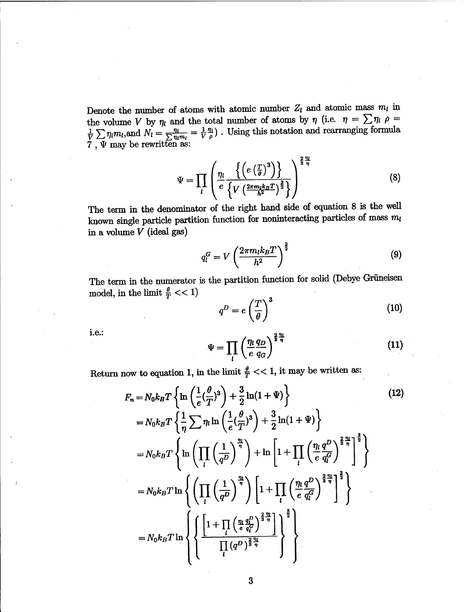Denote the number of atoms with atomic number  $Z_l$  and atomic mass  $m_l$  in the volume V by  $\eta_l$  and the total number of atoms by  $\eta$  (i.e.  $\eta = \sum_i \eta_l$   $\rho =$  $\frac{m}{\sqrt{n}} = \frac{1}{N} \frac{m}{a}$ . Using this notation and rearranging formula  $7$  ,  $\Psi$  may be rewritten as:  $\begin{array}{l} \text{the volume $V$ by $\eta_l$ and}\ \frac{1}{V}\sum_{l} \eta_l m_l, \text{and} \ N_l = \frac{\eta_l}{\sum_{l} \eta_l m_l} \end{array}$ 

$$
\Psi = \prod_{l} \left( \frac{\eta_{l}}{e} \frac{\left\{ \left( e \left( \frac{T}{\theta} \right)^{3} \right) \right\}}{\left\{ V \left( \frac{2\pi m_{l} k_{B} T}{h^{2}} \right)^{\frac{3}{2}} \right\}} \right)^{\frac{2 \cdot \eta_{l}}{3 \cdot \eta_{l}}}
$$
(8)

The term in the denominator of the right hand side of equation 8 is the well known single particle partition function for noninteracting particles of mass  $m_l$ in a volume *V* (ideal gas)

$$
q_l^G = V \left(\frac{2\pi m_l k_B T}{h^2}\right)^{\frac{3}{2}} \tag{9}
$$

The term in the numerator is the partition function for solid (Debye Grüneisen model, in the limit  $\frac{\theta}{T} << 1)$ 

$$
q^D = e\left(\frac{T}{\theta}\right)^3 \tag{10}
$$

i.e.:

$$
\Psi = \prod_{l} \left( \frac{\eta_l}{e} \frac{q_D}{q_G} \right)^{\frac{2}{3} \frac{\eta_l}{\eta}}
$$
(11)

Return now to equation 1, in the limit  $\frac{\theta}{T} \ll 1$ , it may be written as:

$$
F_n = N_0 k_B T \left\{ \ln \left( \frac{1}{e} \left( \frac{\theta}{T} \right)^3 \right) + \frac{3}{2} \ln(1 + \Psi) \right\}
$$
(12)  
\n
$$
= N_0 k_B T \left\{ \frac{1}{\eta} \sum \eta_l \ln \left( \frac{1}{e} \left( \frac{\theta}{T} \right)^3 \right) + \frac{3}{2} \ln(1 + \Psi) \right\}
$$
  
\n
$$
= N_0 k_B T \left\{ \ln \left( \prod_l \left( \frac{1}{q^D} \right)^{\frac{\eta_l}{\eta}} \right) + \ln \left[ 1 + \prod_l \left( \frac{\eta_l}{e} \frac{q^D}{q_l^G} \right)^{\frac{2\eta_l}{3\eta}} \right]^{\frac{3}{2}} \right\}
$$
  
\n
$$
= N_0 k_B T \ln \left\{ \left( \prod_l \left( \frac{1}{q^D} \right)^{\frac{\eta_l}{\eta}} \right) \left[ 1 + \prod_l \left( \frac{\eta_l}{e} \frac{q^D}{q_l^G} \right)^{\frac{2\eta_l}{3\eta}} \right]^{\frac{3}{2}} \right\}
$$
  
\n
$$
= N_0 k_B T \ln \left\{ \left\{ \frac{\left[ 1 + \prod_l \left( \frac{\eta_l}{e} \frac{q_l^D}{q_l^G} \right)^{\frac{2\eta_l}{3\eta}} \right]}{\prod_l (q^D)^{\frac{2\eta_l}{3\eta}}} \right\}^{\frac{3}{2}} \right\}
$$
(12)  
\n(12)  
\n(13)  
\n(14)  
\n(15)  
\n(16)  
\n(17)  
\n(18)  
\n(19)  
\n(19)  
\n(10)  
\n(11)  
\n(12)  
\n(13)  
\n(14)  
\n(15)  
\n(19)  
\n(12)  
\n(13)  
\n(14)  
\n(19)  
\n(19)  
\n(10)  
\n(19)  
\n(10)  
\n(10)  
\n(11)  
\n(12)  
\n(13)  
\n(14)  
\n(16)  
\n(19)  
\n(19)  
\n(10)  
\n(19)  
\n(10)  
\n(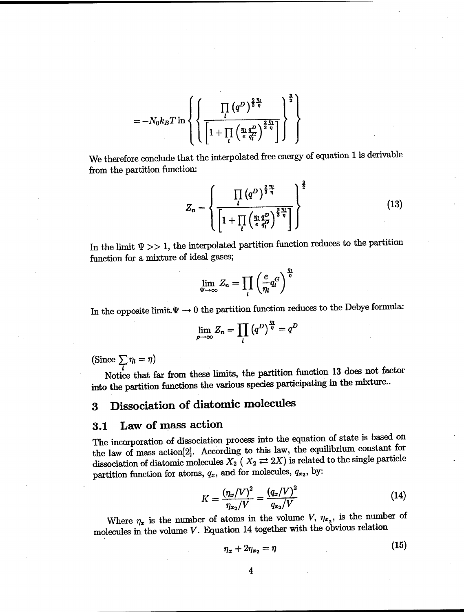$$
=-N_0k_BT\ln\left\{\left\{\frac{\prod\limits_l\left(q^D\right)^{\frac{2}{3}\frac{\eta_l}{\eta}}}{\left[1+\prod\limits_l\left(\frac{\eta_l}{e}\frac{q^D}{q_l^G}\right)^{\frac{2}{3}\frac{\eta_l}{\eta}}\right]}\right\}^{\frac{3}{2}}\right\}
$$

We therefore conclude that the interpolated free energy of equation <sup>1</sup> is derivable from the partition function:

$$
Z_n = \left\{ \frac{\prod\limits_l (q^D)^{\frac{2}{3} \frac{\eta_l}{\eta}}}{\left[1 + \prod\limits_l \left(\frac{\eta_l q^D}{e \frac{q^D}{q^C_l}}\right)^{\frac{2}{3} \frac{\eta_l}{\eta}}\right]}\right\}^{\frac{3}{2}}
$$
(13)

In the limit  $\Psi \gg 1$ , the interpolated partition function reduces to the partition function for a mixture of ideal gases;

$$
\lim_{\Psi \to \infty} Z_n = \prod_l \left(\frac{e}{\eta_l} q_l^G\right)^{\frac{\eta_l}{\eta}}
$$

In the opposite limit. $\Psi \rightarrow 0$  the partition function reduces to the Debye formula:

$$
\lim_{\rho \to \infty} Z_n = \prod_l \left( q^D \right)^{\frac{\eta_l}{\eta}} = q^D
$$

(Since  $\sum_l \eta_l = \eta$ )

Notice that far from these limits, the partition function 13 does not factor into the partition functions the various species participating in the mixture..

# **3 Dissociation of diatomic molecules**

### **3.1 Law of** mass action

The incorporation of dissociation process into the equation of state is based on the law of mass action[2]. According to this law, the equilibrium constant for dissociation of diatomic molecules  $X_2$  ( $X_2 \rightleftarrows 2X$ ) is related to the single particle partition function for atoms,  $q_x$ , and for molecules,  $q_{x_2}$ , by:

$$
K = \frac{(\eta_x/V)^2}{\eta_{x_2}/V} = \frac{(q_x/V)^2}{q_{x_2}/V} \tag{14}
$$

Where  $\eta_x$  is the number of atoms in the volume V,  $\eta_{x_2}$ , is the number of molecules in the volume  $V$ . Equation 14 together with the obvious relation

$$
\eta_x + 2\eta_{x_2} = \eta \tag{15}
$$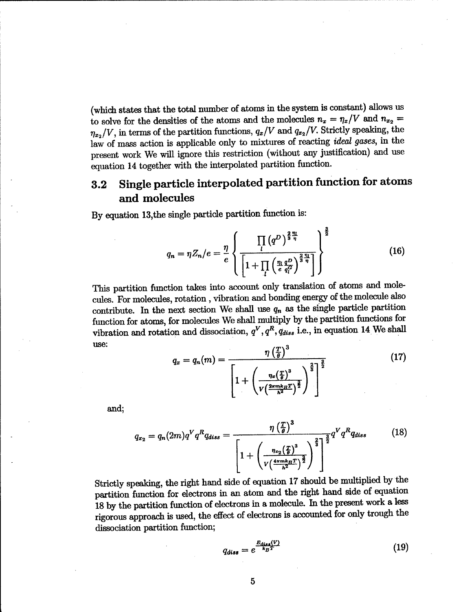(which states that the total number of atoms in the system is constant) allows us to solve for the densities of the atoms and the molecules  $n_x = \eta_x/V$  and  $n_{x_2} =$  $\eta_{x_2}/V$ , in terms of the partition functions,  $q_x/V$  and  $q_{x_2}/V$ . Strictly speaking, the law of mass action is applicable only to mixtures of reacting *ideal gases,* in the present work We will ignore this restriction (without any justification) and use equation 14 together with the interpolated partition function.

## **3.2 Single particle interpolated partition function for atoms and molecules**

By equation 13,the single particle partition function is:

$$
q_n = \eta Z_n / e = \frac{\eta}{e} \left\{ \frac{\prod\limits_l (q^D)^{\frac{2}{3} \frac{\eta_l}{\eta}}}{\left[1 + \prod\limits_l \left(\frac{\eta_l q^D}{e} \frac{q^D}{q^C_l}\right)^{\frac{2}{3} \frac{\eta_l}{\eta}}\right]}\right\}^{\frac{3}{2}}
$$
(16)

This partition function takes into account only translation of atoms and molecules. For molecules, rotation, vibration and bonding energy of the molecule also contribute. In the next section We shall use  $q_n$  as the single particle partition function for atoms, for molecules We shall multiply by the partition functions for vibration and rotation and dissociation,  $q^V$ ,  $q^R$ ,  $q_{diss}$  i.e., in equation 14 We shall use:

$$
q_x = q_n(m) = \frac{\eta \left(\frac{T}{\theta}\right)^3}{\left[1 + \left(\frac{\eta_x \left(\frac{T}{\theta}\right)^3}{\nu \left(\frac{2\pi m k_B T}{h^2}\right)^{\frac{3}{2}}}\right)^{\frac{2}{3}}\right]}
$$
(17)

and;

$$
q_{x_2} = q_n(2m)q^V q^R q_{diss} = \frac{\eta \left(\frac{T}{\theta}\right)^3}{\left[1 + \left(\frac{\eta_{x_2}\left(\frac{T}{\theta}\right)^3}{V\left(\frac{4\pi mk_BT}{h^2}\right)^{\frac{3}{2}}}\right)^{\frac{2}{3}}\right]^{\frac{3}{2}}q^V q^R q_{diss}
$$
(18)

Strictly speaking, the right hand side of equation 17 should be multiplied by the partition function for electrons in an atom and the right hand side of equation 18 by the partition function of electrons in a molecule. In the present work a less rigorous approach is used, the effect of electrons is accounted for only trough the dissociation partition function;

$$
q_{\text{diss}} = e^{\frac{E_{\text{diss}}(V)}{k_B T}} \tag{19}
$$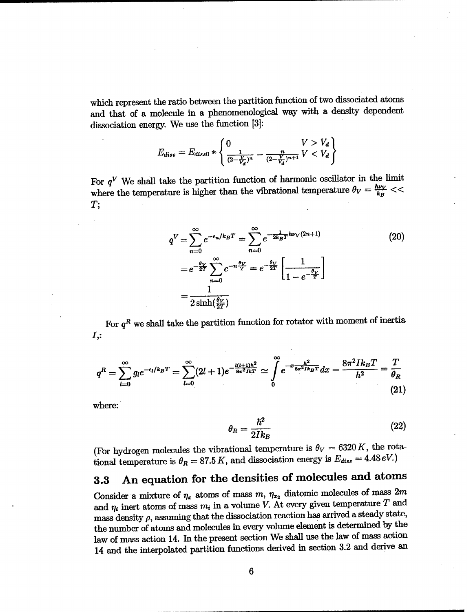which represent the ratio between the partition function of two dissociated atoms and that of a molecule in a phenomenological way with a density dependent dissociation energy. We use the function [3]:

$$
E_{diss} = E_{diss0} * \left\{ \frac{1}{(2-\frac{V}{V_d})^n} - \frac{n}{(2-\frac{V}{V_d})^{n+1}} V < V_d \right\}
$$

For  $q^V$  We shall take the partition function of harmonic oscillator in the limit where the temperature is higher than the vibrational temperature  $\theta_V = \frac{h\nu_V}{k_B}$  << *T;*

$$
q^{V} = \sum_{n=0}^{\infty} e^{-\epsilon_n/k_B T} = \sum_{n=0}^{\infty} e^{-\frac{1}{2k_B T} h\nu_V(2n+1)}
$$
(20)  
=  $e^{-\frac{\theta_V}{2T}} \sum_{n=0}^{\infty} e^{-n\frac{\theta_V}{T}} = e^{-\frac{\theta_V}{2T}} \left[ \frac{1}{1 - e^{-\frac{\theta_V}{T}}} \right]$   
=  $\frac{1}{2 \sinh(\frac{\theta_V}{2T})}$ 

For  $q^R$  we shall take the partition function for rotator with moment of inertia **A:**

$$
q^{R} = \sum_{l=0}^{\infty} g_{l} e^{-\epsilon_{l}/k_{B}T} = \sum_{l=0}^{\infty} (2l+1) e^{-\frac{l(l+1)h^{2}}{8\pi^{2}l kT}} \simeq \int_{0}^{\infty} e^{-x \frac{h^{2}}{8\pi^{2}l k_{B}T}} dx = \frac{8\pi^{2}l k_{B}T}{h^{2}} = \frac{T}{\theta_{R}}
$$
\n(21)

where:

$$
\theta_R = \frac{\hbar^2}{2Ik_B} \tag{22}
$$

(For hydrogen molecules the vibrational temperature is  $\theta_V = 6320 K$ , the rotational temperature is  $\theta_R = 87.5 K$ , and dissociation energy is  $E_{diss} = 4.48 eV$ .)

# 3.3 An equation for the densities of molecules and atoms

Consider a mixture of  $\eta_x$  atoms of mass  $m$ ,  $\eta_{x_2}$  diatomic molecules of mass  $2m$ and  $\eta_i$  inert atoms of mass  $m_i$  in a volume *V*. At every given temperature *T* and mass density  $\rho$ , assuming that the dissociation reaction has arrived a steady state, the number of atoms and molecules in every volume element is determined by the law of mass action 14. In the present section We shall use the law of mass action 14 and the interpolated partition functions derived in section 3.2 and derive an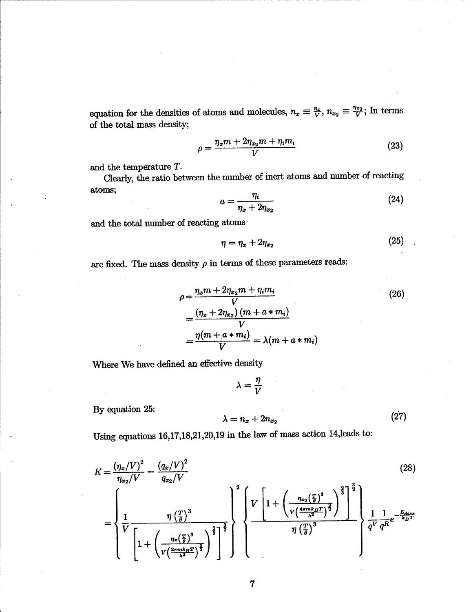equation for the densities of atoms and molecules,  $n_x \equiv \frac{\eta_x}{V}$ ,  $n_{x_2} \equiv \frac{\eta_{x_2}}{V}$ ; In terms of the total mass density;

$$
\rho = \frac{\eta_x m + 2\eta_{x_2} m + \eta_i m_i}{V} \tag{23}
$$

and the temperature *T.*

Clearly, the ratio between the number of inert atoms and number of reacting atoms;

$$
a = \frac{\eta_i}{\eta_x + 2\eta_{x_2}}\tag{24}
$$

and the total number of reacting atoms

$$
\eta = \eta_x + 2\eta_{x_2} \tag{25}
$$

are fixed. The mass density  $\rho$  in terms of these parameters reads:

$$
\rho = \frac{\eta_x m + 2\eta_{x_2} m + \eta_i m_i}{V}
$$
  
=  $\frac{(\eta_x + 2\eta_{x_2}) (m + a * m_i)}{V}$   
=  $\frac{\eta(m + a * m_i)}{V}$  =  $\lambda(m + a * m_i)$  (26)

Where We have defined an effective density

$$
\lambda = \frac{\eta}{V}
$$

By equation 25:

$$
\lambda = n_x + 2n_{x_2}
$$

 $(27)$ 

Using equations 16,17,18,21,20,19 in the law of mass action 14,leads to:

$$
K = \frac{(\eta_x/V)^2}{\eta_{x_2}/V} = \frac{(q_x/V)^2}{q_{x_2}/V}
$$
\n
$$
= \left\{\frac{1}{V}\frac{\eta\left(\frac{T}{\theta}\right)^3}{\left[1 + \left(\frac{\eta_x\left(\frac{T}{\theta}\right)^3}{V\left(\frac{2\pi mk_BT}{h^2}\right)^{\frac{3}{2}}}\right)^{\frac{2}{3}}\right\}^{\frac{3}{2}}\right\} \left\{\frac{V\left[1 + \left(\frac{\eta_{x_2}\left(\frac{T}{\theta}\right)^3}{V\left(\frac{4\pi mk_BT}{h^2}\right)^{\frac{3}{2}}}\right)^{\frac{2}{3}}\right]^{\frac{3}{2}}}{\eta\left(\frac{T}{\theta}\right)^3}\right\}^{\frac{2}{3}} \frac{1}{q^V} \frac{1}{q^R} e^{-\frac{E_{diag}}{k_BT}}
$$
\n(28)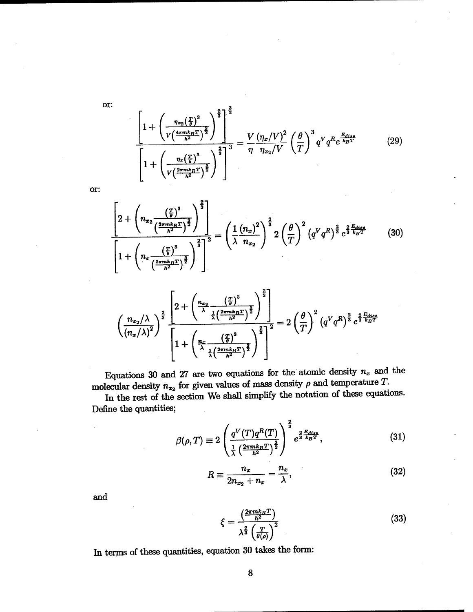or:

$$
\frac{1 + \left(\frac{\eta_{x_2}(\frac{T}{\theta})^3}{V\left(\frac{4\pi mk_BT}{h^2}\right)^{\frac{3}{2}}}\right)^{\frac{2}{3}}}{1 + \left(\frac{\eta_x(\frac{T}{\theta})^3}{V\left(\frac{2\pi mk_BT}{h^2}\right)^{\frac{3}{2}}}\right)^{\frac{2}{3}} = \frac{V}{\eta} \frac{(\eta_x/V)^2}{\eta_{x_2}/V} \left(\frac{\theta}{T}\right)^3 q^V q^R e^{\frac{E_{dis}}{k_B T}} \tag{29}
$$

$$
\cdot \text{for }
$$

$$
\frac{\left[2+\left(n_{x_2}\frac{\left(\frac{T}{\theta}\right)^3}{\left(\frac{2\pi mk_BT}{k^2}\right)^{\frac{3}{2}}}\right)^{\frac{2}{3}}\right]}{\left[1+\left(n_x\frac{\left(\frac{T}{\theta}\right)^3}{\left(\frac{2\pi mk_BT}{k^2}\right)^{\frac{3}{2}}}\right)^{\frac{2}{3}}\right]^2} = \left(\frac{1}{\lambda}\frac{\left(n_x\right)^2}{n_{x_2}}\right)^{\frac{2}{3}} 2\left(\frac{\theta}{T}\right)^2 \left(q^Vq^R\right)^{\frac{2}{3}} e^{\frac{2}{3}\frac{E_{disc}}{k_BT}} \tag{30}
$$

$$
\left(\frac{n_{x_2}/\lambda}{\left(n_x/\lambda\right)^2}\right)^{\frac{2}{3}}\frac{\left[2+\left(\frac{n_{x_2}}{\lambda}\frac{\left(\frac{T}{\theta}\right)^3}{\frac{1}{\lambda}\left(\frac{2\pi mk_BT}{h^2}\right)^{\frac{2}{3}}}\right)^{\frac{2}{3}}\right]}{\left[1+\left(\frac{n_x}{\lambda}\frac{\left(\frac{T}{\theta}\right)^3}{\frac{1}{\lambda}\left(\frac{2\pi mk_BT}{h^2}\right)^{\frac{2}{3}}}\right)^{\frac{2}{3}}\right]^2}=2\left(\frac{\theta}{T}\right)^2\left(q^Vq^R\right)^{\frac{2}{3}}e^{\frac{2}{3}\frac{E_{disc}}{k_BT}}
$$

Equations 30 and 27 are two equations for the atomic density  $n_x$  and the molecular density  $n_{x_2}$  for given values of mass density  $\rho$  and temperature  $T$ .

In the rest of the section We shall simplify the notation of these equations. Define the quantities;

$$
\beta(\rho, T) \equiv 2 \left( \frac{q^V(T)q^R(T)}{\frac{1}{\lambda} \left( \frac{2\pi mk_B T}{h^2} \right)^{\frac{3}{2}}} e^{\frac{2}{3} \frac{E_{diss}}{k_B T}}, \tag{31}
$$

$$
R \equiv \frac{n_x}{2n_{x_2} + n_x} = \frac{n_x}{\lambda},\tag{32}
$$

and

$$
\xi = \frac{\left(\frac{2\pi mk_BT}{h^2}\right)}{\lambda^{\frac{2}{3}}\left(\frac{T}{\theta(\rho)}\right)^2}
$$
\n(33)

In terms of these quantities, equation 30 takes the form: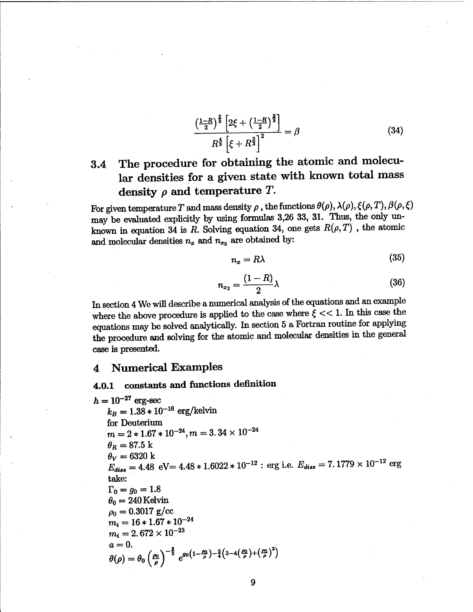$$
\frac{\left(1-R\right)^{\frac{2}{3}}\left[2\xi + \left(\frac{1-R}{2}\right)^{\frac{2}{3}}\right]}{R^{\frac{4}{3}}\left[\xi + R^{\frac{2}{3}}\right]^{2}} = \beta
$$
\n(34)

# 3.4 The procedure for obtaining the atomic and molecular densities for a given state with known total mass density  $\rho$  and temperature *T*.

For given temperature *T* and mass density  $\rho$ , the functions  $\theta(\rho)$ ,  $\lambda(\rho)$ ,  $\xi(\rho, T)$ ,  $\beta(\rho, \xi)$ may be evaluated explicitly by using formulas 3,26 33, 31. Thus, the only unknown in equation 34 is *R*. Solving equation 34, one gets  $R(\rho, T)$ , the atomic and molecular densities  $n_x$  and  $n_{x_2}$  are obtained by:

$$
n_x = R\lambda \tag{35}
$$

$$
n_{x_2} = \frac{(1-R)}{2}\lambda \tag{36}
$$

In section 4 We will describe a numerical analysis of the equations and an example where the above procedure is applied to the case where  $\xi \ll 1$ . In this case the equations may be solved analytically. In section 5 a Fortran routine for applying the procedure and solving for the atomic and molecular densities in the general case is presented.

#### 4 Numerical Examples

### **4.0.1 constants and functions definition**

 $h = 10^{-27}$  erg-sec  $k_B = 1.38 * 10^{-16}$  erg/kelvin for Deuterium  $m=2*1.67*10^{-24}, m=3.\,34\times 10^{-24}$  $\theta_R = 87.5 \text{ k}$  $\theta_V = 6320 \text{ k}$  $E_{diss} = 4.48 \text{ eV} = 4.48 * 1.6022 * 10^{-12}$  : erg i.e.  $E_{diss} = 7.1779 \times 10^{-12}$  erg take:  $\Gamma_0 = g_0 = 1.8$  $\theta_0 = 240$  Kelvin  $\rho_0 = 0.3017 \text{ g/cc}$  $m_i = 16 * 1.67 * 10^{-24}$  $m_i = 2.672 \times 10^{-23}$  $a=0.$  $a = 0.$ <br>  $\theta(\rho) = \theta_0 \left(\frac{\rho_0}{\rho}\right)^{-\frac{3}{2}} e^{g_0 \left(1 - \frac{\rho_0}{\rho}\right) - \frac{3}{4}\left(3 - 4\left(\frac{\rho_0}{\rho}\right) + \left(\frac{\rho_0}{\rho}\right)^2\right)}$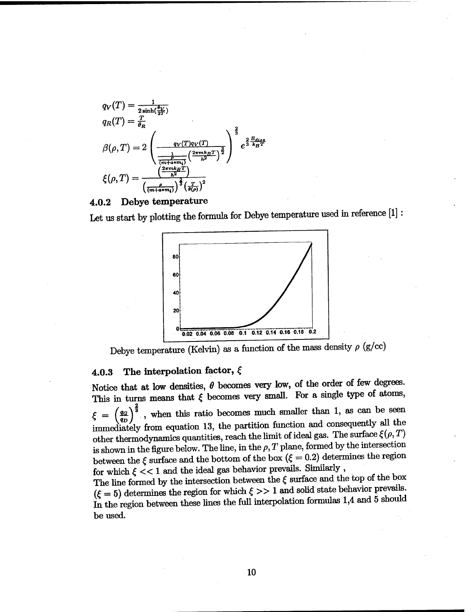

#### **4.0.2 Debye temperature**

Let us start by plotting the formula for Debye temperature used in reference [1] :



Debye temperature (Kelvin) as a function of the mass density  $\rho$  (g/cc)

### **4.0.3 The interpolation factor,** f

Notice that at low densities,  $\theta$  becomes very low, of the order of few degrees. This in turns means that  $\xi$  becomes very small. For a single type of atoms,  $\xi = \left(\frac{q_G}{q_D}\right)^{\frac{4}{3}}$ , when this ratio becomes much smaller than 1, as can be seen immediately from equation 13, the partition function and consequently all the other thermodynamics quantities, reach the limit of ideal gas. The surface  $\xi(\rho,T)$ is shown in the figure below. The line, in the  $\rho$ ,  $T$  plane, formed by the intersection between the  $\xi$  surface and the bottom of the box ( $\xi = 0.2$ ) determines the region for which  $\xi << 1$  and the ideal gas behavior prevails. Similarly ,

The line formed by the intersection between the  $\xi$  surface and the top of the box  $(\xi = 5)$  determines the region for which  $\xi >> 1$  and solid state behavior prevails. In the region between these lines the full interpolation formulas 1,4 and 5 should be used.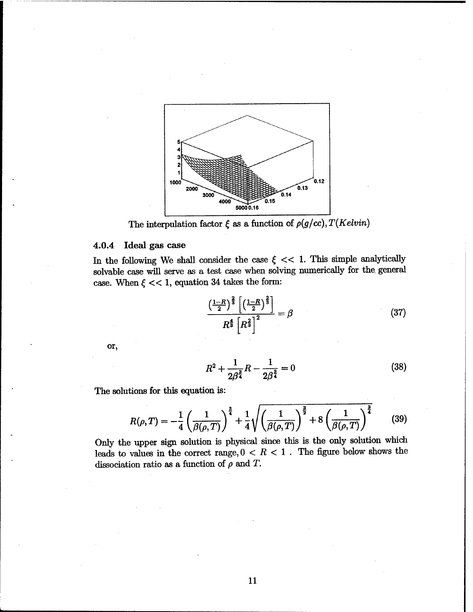

The interpulation factor  $\xi$  as a function of  $\rho(g/cc)$ ,  $T(Kelvin)$ 

#### **4.0.4 Ideal** gas case

In the following We shall consider the case  $\xi \ll 1$ . This simple analytically solvable case will serve as a test case when solving numerically for the general case. When  $\xi \ll 1$ , equation 34 takes the form:

$$
\frac{\left(\frac{1-R}{2}\right)^{\frac{2}{3}}\left[\left(\frac{1-R}{2}\right)^{\frac{2}{3}}\right]}{R^{\frac{4}{3}}\left[R^{\frac{2}{3}}\right]^{2}} = \beta
$$
\n(37)

or,

$$
R^2 + \frac{1}{2\beta^{\frac{3}{4}}}R - \frac{1}{2\beta^{\frac{3}{4}}} = 0
$$
 (38)

The solutions for this equation is:

$$
R(\rho, T) = -\frac{1}{4} \left( \frac{1}{\beta(\rho, T)} \right)^{\frac{3}{4}} + \frac{1}{4} \sqrt{\left( \frac{1}{\beta(\rho, T)} \right)^{\frac{3}{2}}} + 8 \left( \frac{1}{\beta(\rho, T)} \right)^{\frac{3}{4}} \tag{39}
$$

Only the upper sign solution is physical since this is the only solution which leads to values in the correct range,  $0 < R < 1$ . The figure below shows the dissociation ratio as a function of  $\rho$  and *T*.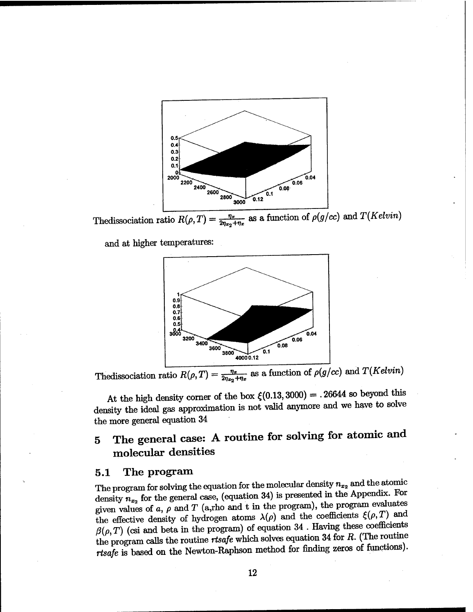

and at higher temperatures:



The<br>dissociation ratio  $R(\rho, T) = \frac{\eta_x}{2\eta_{x_2} + \eta_x}$  as a function of  $\rho(g/cc)$  and  $T(Kelvin)$ 

At the high density corner of the box  $\xi(0.13,3000) = .26644$  so beyond this density the ideal gas approximation is not valid anymore and we have to solve the more general equation 34

# 5 The general case: A routine for solving for atomic and molecular densities

#### 5.1 The program

The program for solving the equation for the molecular density  $n_{x_2}$  and the atomic density  $n_{x_2}$  for the general case, (equation 34) is presented in the Appendix. For given values of  $a$ ,  $\rho$  and  $T$  (a,rho and  $t$  in the program), the program evaluates the effective density of hydrogen atoms  $\lambda(\rho)$  and the coefficients  $\xi(\rho,T)$  and  $\beta(\rho, T)$  (csi and beta in the program) of equation 34. Having these coefficients the program calls the routine *rtsafe* which solves equation 34 for *R.* (The routine *rtsafe* is based on the Newton-Raphson method for finding zeros of functions).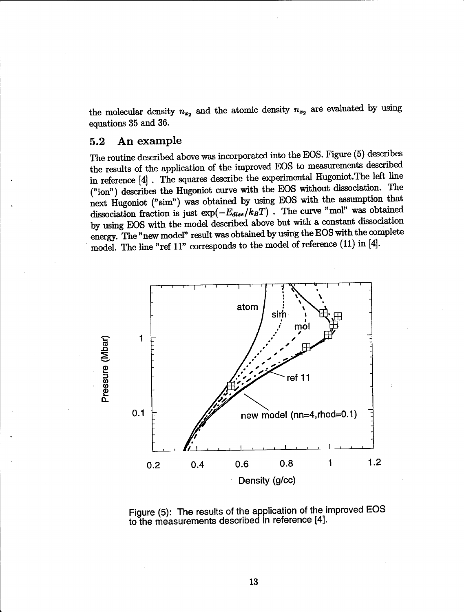the molecular density  $n_{x_2}$  and the atomic density  $n_{x_2}$  are evaluated by using equations 35 and 36.

#### 5.2 An example

The routine described above was incorporated into the EOS. Figure (5) describes the results of the application of the improved EOS to measurements described in reference [4] . The squares describe the experimental Hugoniot.The left line ("ion") describes the Hugoniot curve with the EOS without dissociation. The next Hugoniot ("sim") was obtained by using EOS with the assumption that dissociation fraction is just  $\exp(-E_{diss}/k_BT)$  . The curve "mol" was obtained by using EOS with the model described above but with a constant dissociation energy. The "new model" result was obtained by using the EOS with the complete model. The line "ref 11" corresponds to the model of reference (11) in [4].